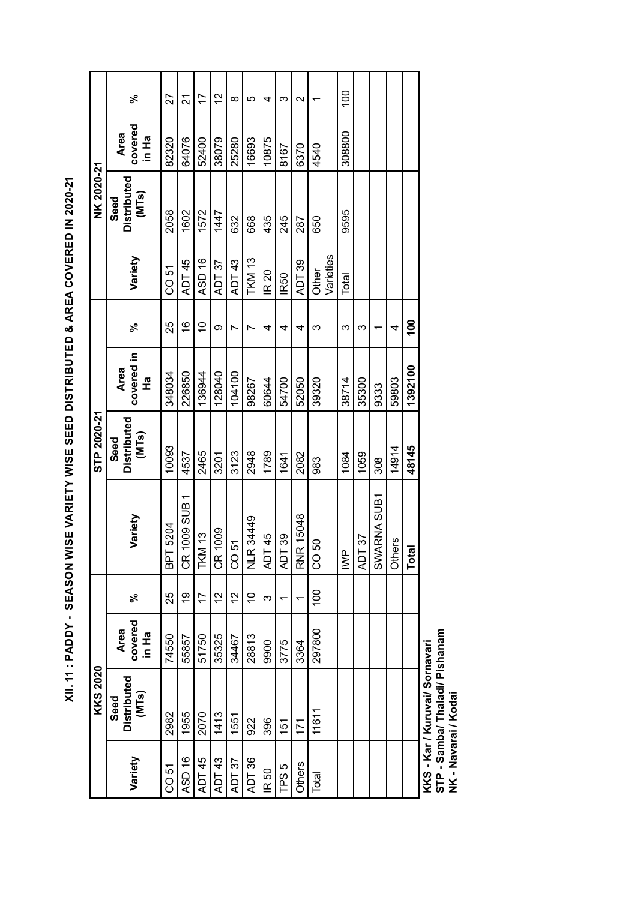| NK 2020-21      | వ్                                  | 27       | 21            | 7              | 12            | $\infty$     | 5             | 4            | ო           | $\mathbf{\Omega}$ |        |           | $\frac{100}{2}$ |        |             |        |         |
|-----------------|-------------------------------------|----------|---------------|----------------|---------------|--------------|---------------|--------------|-------------|-------------------|--------|-----------|-----------------|--------|-------------|--------|---------|
|                 | covered<br><b>Area</b><br>in Ha     | 82320    | 64076         | 52400          | 38079         | 25280        | 16693         | 10875        | 8167        | 6370              | 4540   |           | 308800          |        |             |        |         |
|                 | Distributed<br>(MTs)<br>Seed        | 2058     | 1602          | 1572           | 1447          | 632          | 668           | 435          | 245         | 287               | 650    |           | 9595            |        |             |        |         |
|                 | Variety                             | CO 51    | ADT 45        | ASD 16         | ADT 37        | <b>ADT43</b> | <b>TKM 13</b> | <b>IR 20</b> | <b>IR50</b> | ADT 39            | Other  | Varieties | Total           |        |             |        |         |
| STP 2020-21     | వ్                                  | 25       | $\frac{6}{5}$ | $\tilde{0}$    | တ             |              |               | 4            | 4           | 4                 | ო      |           | ω               | ω      |             | 4      | 100     |
|                 | covered in<br><b>Area</b><br>훈      | 348034   | 226850        | 136944         | 128040        | 104100       | 98267         | 60644        | 54700       | 52050             | 39320  |           | 38714           | 35300  | 9333        | 59803  | 1392100 |
|                 | Distributed<br>(MTs)<br>Seed        | 10093    | 4537          | 2465           | 3201          | 3123         | 2948          | 1789         | 1641        | 2082              | 983    |           | 1084            | 1059   | 308         | 14914  | 48145   |
|                 | Variety                             | BPT 5204 | CR 1009 SUB 1 | <b>TKM 13</b>  | CR 1009       | CO 51        | NLR 34449     | ADT 45       | 951(<br>੩   | IR 15048<br>쥰     | CO 50  |           | $\Omega$<br>Σ   | ADT 37 | SWARNA SUB1 | Others | Total   |
| <b>KKS 2020</b> | వ్                                  | 25       | <u>စု</u>     | $\overline{1}$ | $\tilde{c}$   | 57           | $\tilde{a}$   | ო            |             |                   | 100    |           |                 |        |             |        |         |
|                 | covered<br><b>Area</b><br>in Ha     | 74550    | 55857         | 51750          | 35325         | 34467        | 28813         | 9900         | 3775        | 3364              | 297800 |           |                 |        |             |        |         |
|                 | <b>Distributed</b><br>(MTS)<br>Seed | 2982     | 1955          | 2070           | 1413          | 1551         | 922           | 396          | 151         | 171               | 11611  |           |                 |        |             |        |         |
|                 | Variety                             | CO 51    | ASD 16        | ADT 45         | <b>ADT 43</b> | ADT 37       | ADT 36        | IR 50        | TPS 5       | Others            | Total  |           |                 |        |             |        |         |

XII. 11 : PADDY - SEASON WISE VARIETY WISE SEED DISTRIBUTED & AREA COVERED IN 2020-21 **XII. 11 : PADDY - SEASON WISE VARIETY WISE SEED DISTRIBUTED & AREA COVERED IN 2020-21**

KKS - Kar / Kuruvai/ Sornavari<br>STP - Samba/ Thaladi/ Pishanam<br>NK - Navarai / Kodai **KKS - Kar / Kuruvai/ Sornavari**

**STP - Samba/ Thaladi/ Pishanam**

**NK - Navarai / Kodai**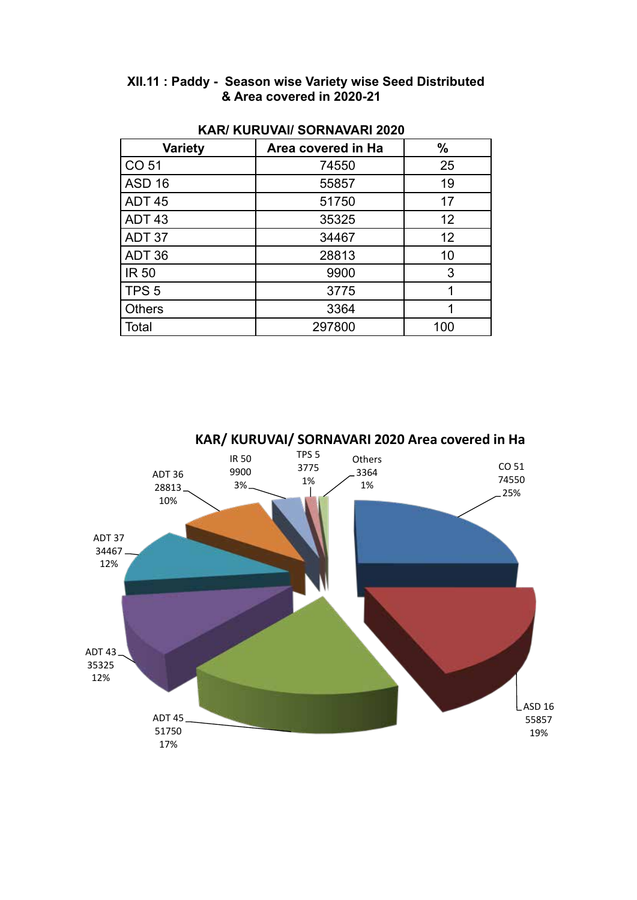# **XII.11 : Paddy - Season wise Variety wise Seed Distributed & Area covered in 2020-21**

| <b>Variety</b>    | Area covered in Ha | $\%$ |
|-------------------|--------------------|------|
| CO 51             | 74550              | 25   |
| <b>ASD 16</b>     | 55857              | 19   |
| ADT <sub>45</sub> | 51750              | 17   |
| ADT <sub>43</sub> | 35325              | 12   |
| ADT 37            | 34467              | 12   |
| ADT 36            | 28813              | 10   |
| <b>IR 50</b>      | 9900               | 3    |
| TPS <sub>5</sub>  | 3775               |      |
| <b>Others</b>     | 3364               |      |
| Total             | 297800             | 100  |

## **KAR/ KURUVAI/ SORNAVARI 2020**



**KAR/ KURUVAI/ SORNAVARI 2020 Area covered in Ha**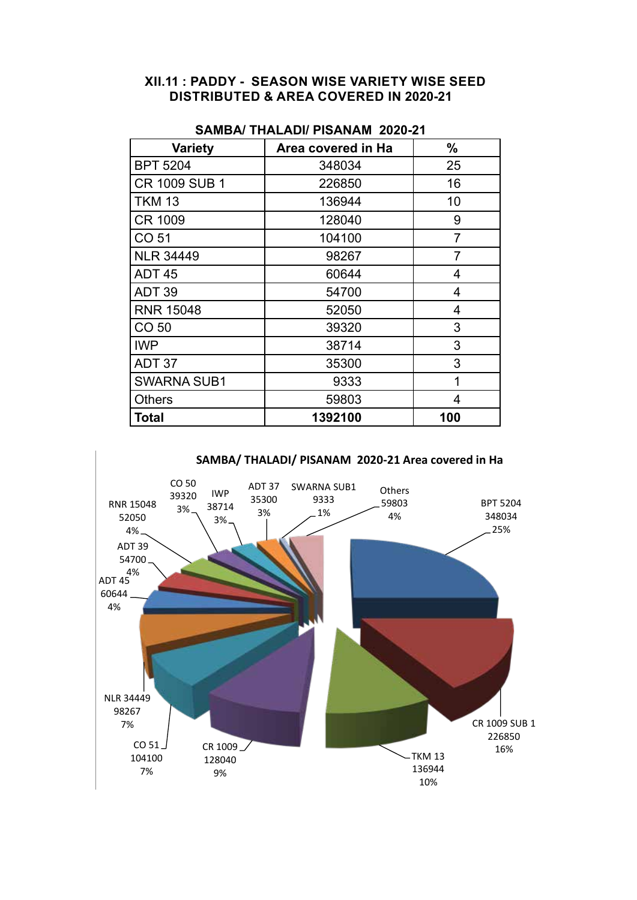## **XII.11 : PADDY - SEASON WISE VARIETY WISE SEED DISTRIBUTED & AREA COVERED IN 2020-21**

| <b>Variety</b>     | Area covered in Ha | $\frac{0}{0}$  |
|--------------------|--------------------|----------------|
| <b>BPT 5204</b>    | 348034             | 25             |
| CR 1009 SUB 1      | 226850             | 16             |
| <b>TKM 13</b>      | 136944             | 10             |
| CR 1009            | 128040             | 9              |
| CO 51              | 104100             | $\overline{7}$ |
| <b>NLR 34449</b>   | 98267              | 7              |
| ADT <sub>45</sub>  | 60644              | 4              |
| ADT <sub>39</sub>  | 54700              | 4              |
| <b>RNR 15048</b>   | 52050              | 4              |
| CO 50              | 39320              | 3              |
| <b>IWP</b>         | 38714              | 3              |
| ADT <sub>37</sub>  | 35300              | 3              |
| <b>SWARNA SUB1</b> | 9333               | 1              |
| Others             | 59803              | 4              |
| Total              | 1392100            | 100            |

#### **SAMBA/ THALADI/ PISANAM 2020-21**